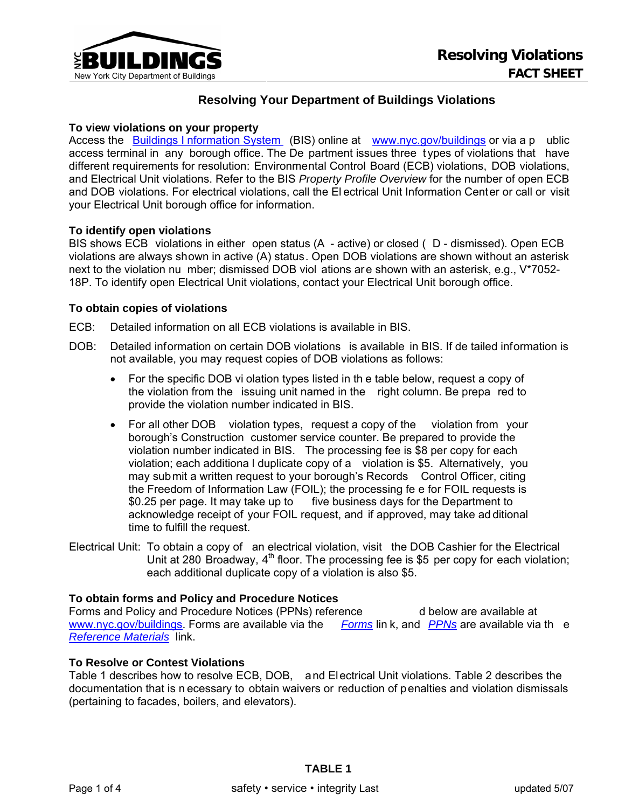

## **Resolving Your Department of Buildings Violations**

## **To view violations on your property**

Access the [Buildings I nformation System](http://www.nyc.gov/html/dob/html/bis/bis.shtml) (BIS) online at [www.nyc.gov/buildings](http://www.nyc.gov/buildings) or via a p ublic access terminal in any borough office. The De partment issues three t ypes of violations that have different requirements for resolution: Environmental Control Board (ECB) violations, DOB violations, and Electrical Unit violations. Refer to the BIS *Property Profile Overview* for the number of open ECB and DOB violations. For electrical violations, call the El ectrical Unit Information Center or call or visit your Electrical Unit borough office for information.

#### **To identify open violations**

BIS shows ECB violations in either open status (A - active) or closed ( D - dismissed). Open ECB violations are always shown in active (A) status. Open DOB violations are shown without an asterisk next to the violation nu mber; dismissed DOB viol ations are shown with an asterisk, e.g., V\*7052- 18P. To identify open Electrical Unit violations, contact your Electrical Unit borough office.

#### **To obtain copies of violations**

ECB: Detailed information on all ECB violations is available in BIS.

- DOB: Detailed information on certain DOB violations is available in BIS. If de tailed information is not available, you may request copies of DOB violations as follows:
	- For the specific DOB vi olation types listed in th e table below, request a copy of the violation from the issuing unit named in the right column. Be prepa red to provide the violation number indicated in BIS.
	- For all other DOB violation types, request a copy of the violation from your borough's Construction customer service counter. Be prepared to provide the violation number indicated in BIS. The processing fee is \$8 per copy for each violation; each additiona l duplicate copy of a violation is \$5. Alternatively, you may submit a written request to your borough's Records Control Officer, citing the Freedom of Information Law (FOIL); the processing fe e for FOIL requests is \$0.25 per page. It may take up to five business days for the Department to acknowledge receipt of your FOIL request, and if approved, may take ad ditional time to fulfill the request.
- Electrical Unit: To obtain a copy of an electrical violation, visit the DOB Cashier for the Electrical Unit at 280 Broadway,  $4<sup>th</sup>$  floor. The processing fee is \$5 per copy for each violation; each additional duplicate copy of a violation is also \$5.

## **To obtain forms and Policy and Procedure Notices**

Forms and Policy and Procedure Notices (PPNs) reference d below are available at [www.nyc.gov/buildings.](http://www.nyc.gov/buildings) Forms are available via the *[Forms](http://www1.nyc.gov/site/buildings/about/forms.page)* lin k, and *[PPNs](http://www1.nyc.gov/site/buildings/codes/policy-procedure-notices.page)* are available via th e *[Reference Materials](http://www1.nyc.gov/site/buildings/codes/reference.page)* link.

## **To Resolve or Contest Violations**

Table 1 describes how to resolve ECB, DOB, and Electrical Unit violations. Table 2 describes the documentation that is n ecessary to obtain waivers or reduction of penalties and violation dismissals (pertaining to facades, boilers, and elevators).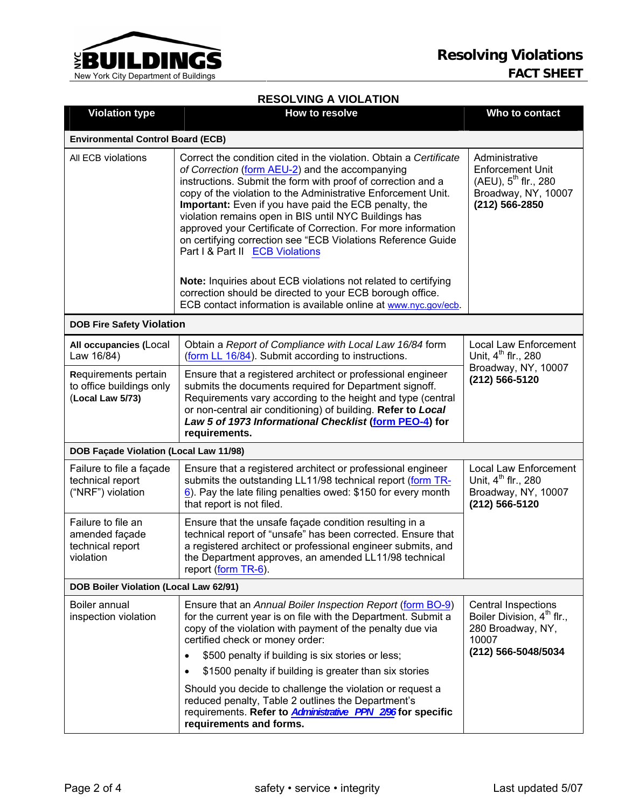

#### Violation type **The Contact** How to resolve **Who to contact** Who to contact **Environmental Control Board (ECB)** All ECB violations Correct the condition cited in the violation. Obtain a *Certificate of Correction* ([form AEU-2\)](http://www1.nyc.gov/assets/buildings/pdf/aeu2.pdf) and the accompanying instructions. Submit the form with proof of correction and a copy of the violation to the Administrative Enforcement Unit. **Important:** Even if you have paid the ECB penalty, the violation remains open in BIS until NYC Buildings has approved your Certificate of Correction. For more information on certifying correction see "ECB Violations Reference Guide Part I & Part II [ECB Violations](http://www1.nyc.gov/site/buildings/safety/environmental-control-board-ecb.page) **Note:** Inquiries about ECB violations not related to certifying correction should be directed to your ECB borough office. ECB contact information is available online at [www.nyc.gov/ecb.](http://www.nyc.gov/ecb) Administrative Enforcement Unit  $(AEU)$ ,  $5^{th}$  flr., 280 Broadway, NY, 10007 **(212) 566-2850 DOB Fire Safety Violation**

**RESOLVING A VIOLATION** 

| <b>PUB I RE SAIGLY VIOLALION</b>                                      |                                                                                                                                                                                                                                                                                                                                 |                                                                                                          |  |  |
|-----------------------------------------------------------------------|---------------------------------------------------------------------------------------------------------------------------------------------------------------------------------------------------------------------------------------------------------------------------------------------------------------------------------|----------------------------------------------------------------------------------------------------------|--|--|
| All occupancies (Local<br>Law 16/84)                                  | Obtain a Report of Compliance with Local Law 16/84 form<br>(form LL 16/84). Submit according to instructions.                                                                                                                                                                                                                   | Local Law Enforcement<br>Unit, 4 <sup>th</sup> flr., 280<br>Broadway, NY, 10007<br>(212) 566-5120        |  |  |
| Requirements pertain<br>to office buildings only<br>(Local Law 5/73)  | Ensure that a registered architect or professional engineer<br>submits the documents required for Department signoff.<br>Requirements vary according to the height and type (central<br>or non-central air conditioning) of building. Refer to Local<br>Law 5 of 1973 Informational Checklist (form PEO-4) for<br>requirements. |                                                                                                          |  |  |
| DOB Façade Violation (Local Law 11/98)                                |                                                                                                                                                                                                                                                                                                                                 |                                                                                                          |  |  |
| Failure to file a façade<br>technical report<br>("NRF") violation     | Ensure that a registered architect or professional engineer<br>submits the outstanding LL11/98 technical report (form TR-<br>6). Pay the late filing penalties owed: \$150 for every month<br>that report is not filed.                                                                                                         | <b>Local Law Enforcement</b><br>Unit, 4 <sup>th</sup> flr., 280<br>Broadway, NY, 10007<br>(212) 566-5120 |  |  |
| Failure to file an<br>amended façade<br>technical report<br>violation | Ensure that the unsafe façade condition resulting in a<br>technical report of "unsafe" has been corrected. Ensure that<br>a registered architect or professional engineer submits, and<br>the Department approves, an amended LL11/98 technical<br>report (form TR-6).                                                          |                                                                                                          |  |  |
| DOB Boiler Violation (Local Law 62/91)                                |                                                                                                                                                                                                                                                                                                                                 |                                                                                                          |  |  |
| Boiler annual<br>inspection violation                                 | Ensure that an Annual Boiler Inspection Report (form BO-9)<br>for the current year is on file with the Department. Submit a<br>copy of the violation with payment of the penalty due via<br>certified check or money order:                                                                                                     | <b>Central Inspections</b><br>Boiler Division, 4 <sup>th</sup> flr.,<br>280 Broadway, NY,<br>10007       |  |  |
|                                                                       | \$500 penalty if building is six stories or less;<br>$\bullet$                                                                                                                                                                                                                                                                  | (212) 566-5048/5034                                                                                      |  |  |
|                                                                       | \$1500 penalty if building is greater than six stories<br>$\bullet$                                                                                                                                                                                                                                                             |                                                                                                          |  |  |
|                                                                       | Should you decide to challenge the violation or request a<br>reduced penalty, Table 2 outlines the Department's<br>requirements. Refer to Administrative PPN 296 for specific<br>requirements and forms.                                                                                                                        |                                                                                                          |  |  |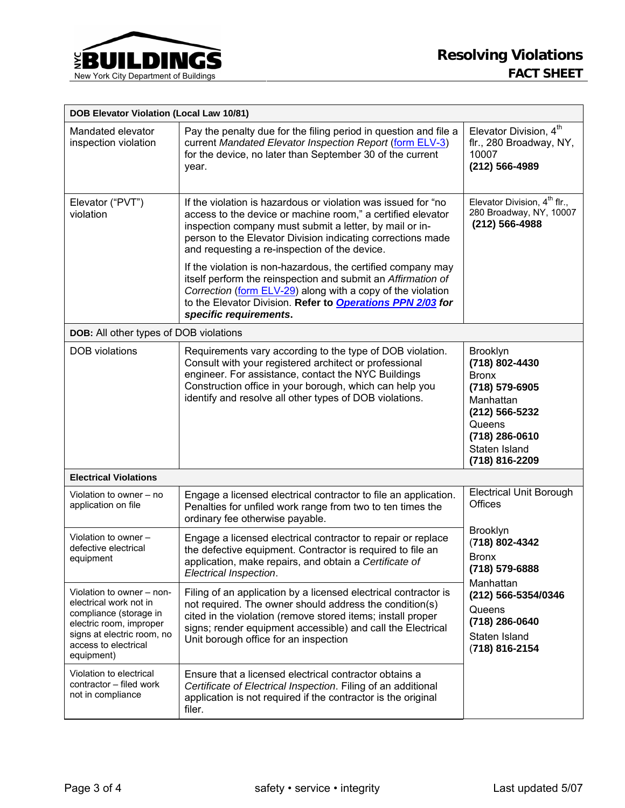

| <b>DOB Elevator Violation (Local Law 10/81)</b>                                                                                                                              |                                                                                                                                                                                                                                                                                                                                                                         |                                                                                                                                                                                                                     |  |
|------------------------------------------------------------------------------------------------------------------------------------------------------------------------------|-------------------------------------------------------------------------------------------------------------------------------------------------------------------------------------------------------------------------------------------------------------------------------------------------------------------------------------------------------------------------|---------------------------------------------------------------------------------------------------------------------------------------------------------------------------------------------------------------------|--|
| Mandated elevator<br>inspection violation                                                                                                                                    | Pay the penalty due for the filing period in question and file a<br>current Mandated Elevator Inspection Report (form ELV-3)<br>for the device, no later than September 30 of the current<br>year.                                                                                                                                                                      | Elevator Division, 4 <sup>th</sup><br>flr., 280 Broadway, NY,<br>10007<br>(212) 566-4989                                                                                                                            |  |
| Elevator ("PVT")<br>violation                                                                                                                                                | If the violation is hazardous or violation was issued for "no<br>access to the device or machine room," a certified elevator<br>inspection company must submit a letter, by mail or in-<br>person to the Elevator Division indicating corrections made<br>and requesting a re-inspection of the device.<br>If the violation is non-hazardous, the certified company may | Elevator Division, 4 <sup>th</sup> flr.,<br>280 Broadway, NY, 10007<br>(212) 566-4988                                                                                                                               |  |
|                                                                                                                                                                              | itself perform the reinspection and submit an Affirmation of<br>Correction (form ELV-29) along with a copy of the violation<br>to the Elevator Division. Refer to <b>Operations PPN 2/03</b> for<br>specific requirements.                                                                                                                                              |                                                                                                                                                                                                                     |  |
| DOB: All other types of DOB violations                                                                                                                                       |                                                                                                                                                                                                                                                                                                                                                                         |                                                                                                                                                                                                                     |  |
| <b>DOB</b> violations                                                                                                                                                        | Requirements vary according to the type of DOB violation.<br>Consult with your registered architect or professional<br>engineer. For assistance, contact the NYC Buildings<br>Construction office in your borough, which can help you<br>identify and resolve all other types of DOB violations.                                                                        | <b>Brooklyn</b><br>(718) 802-4430<br><b>Bronx</b><br>(718) 579-6905<br>Manhattan<br>(212) 566-5232<br>Queens<br>(718) 286-0610<br>Staten Island<br>(718) 816-2209                                                   |  |
| <b>Electrical Violations</b>                                                                                                                                                 |                                                                                                                                                                                                                                                                                                                                                                         |                                                                                                                                                                                                                     |  |
| Violation to owner – no<br>application on file                                                                                                                               | Engage a licensed electrical contractor to file an application.<br>Penalties for unfiled work range from two to ten times the<br>ordinary fee otherwise payable.                                                                                                                                                                                                        | <b>Electrical Unit Borough</b><br><b>Offices</b><br>Brooklyn<br>(718) 802-4342<br><b>Bronx</b><br>(718) 579-6888<br>Manhattan<br>(212) 566-5354/0346<br>Queens<br>(718) 286-0640<br>Staten Island<br>(718) 816-2154 |  |
| Violation to owner -<br>defective electrical<br>equipment                                                                                                                    | Engage a licensed electrical contractor to repair or replace<br>the defective equipment. Contractor is required to file an<br>application, make repairs, and obtain a Certificate of<br>Electrical Inspection.                                                                                                                                                          |                                                                                                                                                                                                                     |  |
| Violation to owner – non-<br>electrical work not in<br>compliance (storage in<br>electric room, improper<br>signs at electric room, no<br>access to electrical<br>equipment) | Filing of an application by a licensed electrical contractor is<br>not required. The owner should address the condition(s)<br>cited in the violation (remove stored items; install proper<br>signs; render equipment accessible) and call the Electrical<br>Unit borough office for an inspection                                                                       |                                                                                                                                                                                                                     |  |
| Violation to electrical<br>contractor - filed work<br>not in compliance                                                                                                      | Ensure that a licensed electrical contractor obtains a<br>Certificate of Electrical Inspection. Filing of an additional<br>application is not required if the contractor is the original<br>filer.                                                                                                                                                                      |                                                                                                                                                                                                                     |  |